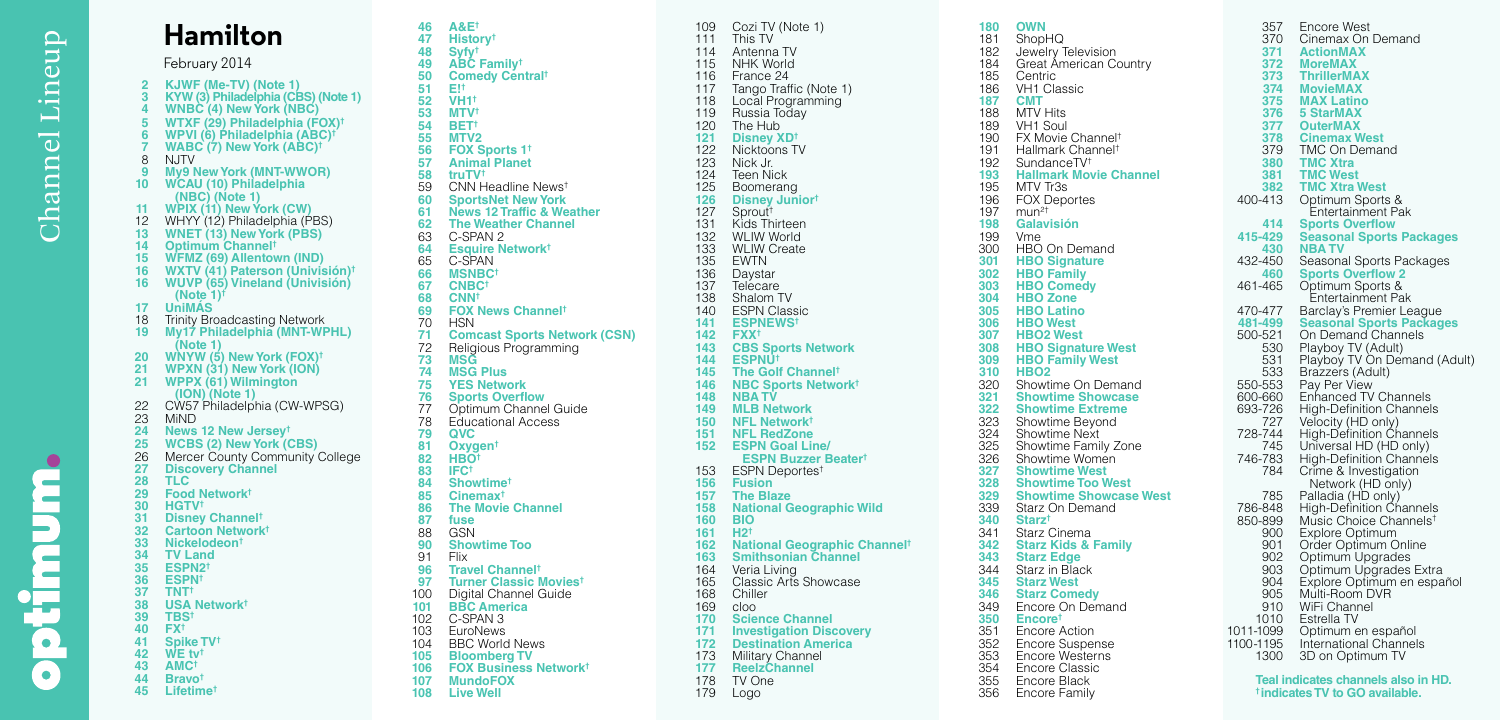$\bullet$ 

## **<sup>10</sup> WCAU (10) Philadelphia (NBC) (Note 1) WPIX (11) New York (CW)** WHYY (12) Philadelphia (PBS) **WNET (13) New York (PBS) Optimum Channel † WFMZ (69) Allentown (IND) UniMÁS** 18 Trinity Broadcasting Network<br>19 My 17 Philadelphia (MNT-WF **WNYW (5) New York (FOX) † WPXN (31) New York (ION) <sup>21</sup> WPPX (61) Wilmington (ION) (Note 1)** 23 MiND<br>24 News **News 12 New Jersey † WCBS (2) New York (CBS) Discovery Channel TLC Food Network † HGTV †** timu **Disney Channel † Cartoon Network † Nickelodeon † TV Land ESPN2 † ESPN † TNT † USA Network † TBS † FX †**  $\bullet$  **Spike TV † WE tv † AMC † Bravo † Lifetime †**

February 2014

 **A&E † History † Syfy † ABC Family † Comedy Central † E! † VH 1 † MTV † BET † MTV2 FOX Sports 1 † Animal Planet truTV †** CNN Headline News † **SportsNet New York News 12 Traffic & Weather The Weather Channel** 63 C-SPAN 2<br>64 Esquire N **Esquire Network †** 65 C-SPAN<br>66 MSNBC **MSNBC † CNBC † CNN † FOX News Channel †** 70 HSN<br>71 **Com Comcast Sports Network (CSN)** 72 Religious Programming<br>73 MSG **MSG MSG Plus YES Network Sports Overflow** 77 Optimum Channel Guide<br>78 Educational Access 78 Educational Access<br>**79 QVC QVC Oxygen † HBO † IFC † Showtime † Cinemax † The Movie Channel fuse** 88 GSN<br>90 Shov **Showtime Too** 91 Flix<br>**96 Tra**v **Travel Channel † Turner Classic Movies †** 100 Digital Channel Guide<br>101 BBC America **BBC America** C-SPAN 3 103 EuroNews<br>104 BBC World 104 BBC World News<br>105 Bloomberg TV **Bloomberg TV FOX Business Network † MundoFOX Live Well Hamilton KJWF (Me-TV) (Note 1) <sup>3</sup> KYW (3) Philadelphia (CBS) (Note 1) <sup>4</sup> WNBC (4) New York (NBC) WTXF (29) Philadelphia (FOX)† <sup>6</sup> WPVI (6) Philadelphia (ABC)† <sup>7</sup> WABC (7) New York (ABC)†** <sup>8</sup> NJTV **<sup>9</sup> My9 New York (MNT-WWOR) WXTV (41) Paterson (Univisión) † <sup>16</sup> WUVP (65) Vineland (Univisión) (Note 1)† <sup>19</sup> My17 Philadelphia (MNT-WPHL) (Note 1)** 22 CW57 Philadelphia (CW-WPSG)<br>23 MiND Mercer County Community College

109 Cozi TV (Note 1)<br>111 This TV 111 This TV<br>114 Antenna Antenna TV NHK World France 24 117 Tango Traffic (Note 1)<br>118 Local Programming 118 Local Programming<br>119 Russia Today 119 Russia Today<br>120 The Hub 120 The Hub<br>121 Disney X **Disney XD †** 122 Nicktoons TV<br>123 Nick Jr. 123 Nick Jr.<br>124 Teen Nic 124 Teen Nick<br>125 Boomeran 125 Boomerang<br>126 Disney Juni **Disney Junior †** Sprout † 131 Kids Thirteen<br>132 WLIW World 132 WLIW World<br>133 WLIW Creat 133 WLIW Create<br>135 EWTN 135 EWTN<br>136 Daysta 136 Daystar<br>137 Telecare 137 Telecare<br>138 Shalom T 138 Shalom TV<br>140 ESPN Clas 140 ESPN Classic<br>141 ESPNEWS<sup>t</sup> **ESPNEWS † FXX † CBS Sports Network ESPNU † The Golf Channel † NBC Sports Network † NBA TV MLB Network NFL Network † NFL RedZone <sup>152</sup> ESPN Goal Line/ ESPN Buzzer Beater †** ESPN Deportes † **Fusion The Blaze National Geographic Wild 160 BIO H2 † National Geographic Channel † Smithsonian Channel** 164 Veria Living<br>165 Classic Arts 165 Classic Arts Showcase<br>168 Chiller 168 Chiller<br>169 cloo cloo **Science Channel Investigation Discovery Destination America** 173 Military Channel<br>177 Reelz Channel **ReelzChannel** 178 TV One<br>179 Logo Logo

| 180        | <b>OWN</b>                                          |
|------------|-----------------------------------------------------|
| 181        | ShopHQ                                              |
| 182        | Jewelry Television                                  |
| 184        | Great American Country                              |
| 185        | Centric                                             |
| 186        | <b>VH1 Classic</b>                                  |
| 187        | <b>CMT</b>                                          |
| 188        | MTV Hits<br>VH1 Soul                                |
| 189<br>190 | FX Movie Channel <sup>+</sup>                       |
| 191        | Hallmark Channel <sup>t</sup>                       |
| 192        | SundanceTV <sup>+</sup>                             |
| 193        | <b>Hallmark Movie Channel</b>                       |
| 195        | MTV Tr3s                                            |
| 196        | FOX Deportes                                        |
| 197        |                                                     |
| 198        | Galavisión                                          |
| 199        | Vme                                                 |
| 300        | HBO On Demand<br><b>HBO Signature</b>               |
| 301        |                                                     |
| 302<br>303 | <b>HBO Family</b><br><b>HBO Comedy</b>              |
| 304        |                                                     |
| 305        | <b>HBO Zone</b><br>HBO Zone<br>HBO Latino           |
| 306        | <b>HBO</b> West                                     |
| 307        | <b>HBO2 West</b>                                    |
| 308        | <b>HBO Signature West</b>                           |
| 309        | <b>HBO Family West</b>                              |
| 310        | <b>HBO2</b>                                         |
| 320        | Showtime On Demand                                  |
| 321        | <b>Showtime Showcase</b><br><b>Showtime Extreme</b> |
| 322<br>323 |                                                     |
| 324        | Showtime Beyond<br>Showtime Next                    |
| 325        | Showtime Family Zone                                |
| 326        | Showtime Women                                      |
| 327        | <b>Showtime West</b>                                |
| 328        | <b>Showtime Too West</b>                            |
| 329        | <b>Showtime Showcase West</b>                       |
| 339        | Starz On Demand                                     |
| 340        | Starz†                                              |
| 341        | Starz Cinema                                        |
| 342<br>343 | <b>Starz Kids &amp; Family</b><br><b>Starz Edge</b> |
| 344        | Starz in Black                                      |
| 345        | <b>Starz West</b>                                   |
| 346        | <b>Starz Comedy</b>                                 |
| 349        | Encore On Demand                                    |
| 350        | Encore <sup>t</sup>                                 |
| 351        | <b>Encore Action</b>                                |
| 352        | Encore Suspense<br>Encore Westerns                  |
| 353        |                                                     |
| 354        | <b>Encore Classic</b>                               |
| 355        | Encore Black                                        |
| 356        | <b>Encore Family</b>                                |

| 357<br>370<br>371<br>372<br>373<br>374<br>375<br>376<br>377<br>378<br>379<br>380<br>381<br>382<br>400-413<br>414<br>415-429<br>430<br>432-450<br>460<br>461-465<br>470-477<br>481-499<br>500-521<br>530<br>531<br>533<br>550-553<br>600-660<br>693-726<br>727<br>728-744<br>745<br>746-783<br>784<br>785<br>786-848<br>850-899<br>900 | Encore West<br>Cinemax On Demand<br>ActionMAX<br><b>MoreMAX</b><br>ThrillerMAX<br><b>MovieMAX</b><br><b>MAX Latino</b><br><b>5 StarMAX</b><br><b>OuterMAX</b><br><b>Cinemax West</b><br>TMC On Demand<br><b>TMC Xtra</b><br><b>TMC West</b><br><b>TMC Xtra West</b><br>Optimum Sports &<br>Entertainment Pak<br><b>Sports Overflow</b><br>Seasonal Sports Packages<br><b>NBATV</b><br>Seasonal Sports Packages<br><b>Sports Overflow 2</b><br>Optimum Sports &<br>Entertainment Pak<br>Barclay's Premier League<br><b>Seasonal Sports Packages</b><br>On Demand Channels<br>Playboy TV (Adult)<br>Playboy TV On Demand (Adult)<br>Brazzers (Adult)<br>Pay Per View<br><b>Enhanced TV Channels</b><br>High-Definition Channels<br>Velocity (HD only)<br>High-Definition Channels<br>Universal HD (HD only)<br><b>High-Definition Channels</b><br>Crime & Investigation<br>Network (HD only)<br>Palladia (HD only)<br><b>High-Definition Channels</b><br>Music Choice Channels <sup>t</sup><br>Explore Optimum |
|---------------------------------------------------------------------------------------------------------------------------------------------------------------------------------------------------------------------------------------------------------------------------------------------------------------------------------------|--------------------------------------------------------------------------------------------------------------------------------------------------------------------------------------------------------------------------------------------------------------------------------------------------------------------------------------------------------------------------------------------------------------------------------------------------------------------------------------------------------------------------------------------------------------------------------------------------------------------------------------------------------------------------------------------------------------------------------------------------------------------------------------------------------------------------------------------------------------------------------------------------------------------------------------------------------------------------------------------------------------|
| 901<br>902                                                                                                                                                                                                                                                                                                                            | Order Optimum Online<br>Optimum Upgrades                                                                                                                                                                                                                                                                                                                                                                                                                                                                                                                                                                                                                                                                                                                                                                                                                                                                                                                                                                     |
| 903<br>904<br>905<br>910<br>1010                                                                                                                                                                                                                                                                                                      | Optimum Upgrades Extra<br>Explore Optimum en español<br>Multi-Room DVR<br>WiFi Channel<br>Estrella TV                                                                                                                                                                                                                                                                                                                                                                                                                                                                                                                                                                                                                                                                                                                                                                                                                                                                                                        |
| 1011-1099<br>1100-1195<br>1300                                                                                                                                                                                                                                                                                                        | Optimum en español<br>International Channels<br>3D on Optimum TV<br>Teal indicates channels also in HD.                                                                                                                                                                                                                                                                                                                                                                                                                                                                                                                                                                                                                                                                                                                                                                                                                                                                                                      |
|                                                                                                                                                                                                                                                                                                                                       |                                                                                                                                                                                                                                                                                                                                                                                                                                                                                                                                                                                                                                                                                                                                                                                                                                                                                                                                                                                                              |

**† indicates TV to GO available.**